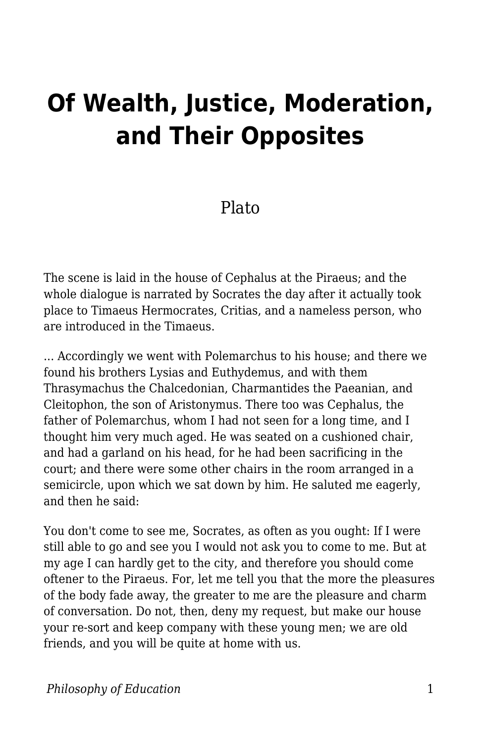## **Of Wealth, Justice, Moderation, and Their Opposites**

## Plato

The scene is laid in the house of Cephalus at the Piraeus; and the whole dialogue is narrated by Socrates the day after it actually took place to Timaeus Hermocrates, Critias, and a nameless person, who are introduced in the Timaeus.

... Accordingly we went with Polemarchus to his house; and there we found his brothers Lysias and Euthydemus, and with them Thrasymachus the Chalcedonian, Charmantides the Paeanian, and Cleitophon, the son of Aristonymus. There too was Cephalus, the father of Polemarchus, whom I had not seen for a long time, and I thought him very much aged. He was seated on a cushioned chair, and had a garland on his head, for he had been sacrificing in the court; and there were some other chairs in the room arranged in a semicircle, upon which we sat down by him. He saluted me eagerly, and then he said:

You don't come to see me, Socrates, as often as you ought: If I were still able to go and see you I would not ask you to come to me. But at my age I can hardly get to the city, and therefore you should come oftener to the Piraeus. For, let me tell you that the more the pleasures of the body fade away, the greater to me are the pleasure and charm of conversation. Do not, then, deny my request, but make our house your re-sort and keep company with these young men; we are old friends, and you will be quite at home with us.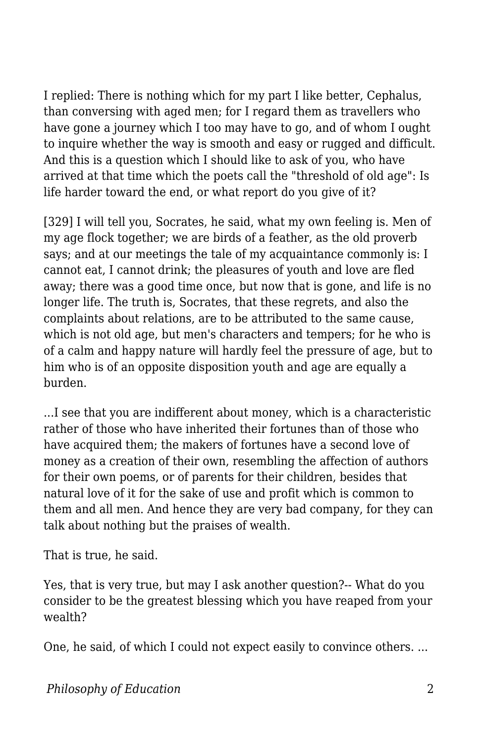I replied: There is nothing which for my part I like better, Cephalus, than conversing with aged men; for I regard them as travellers who have gone a journey which I too may have to go, and of whom I ought to inquire whether the way is smooth and easy or rugged and difficult. And this is a question which I should like to ask of you, who have arrived at that time which the poets call the "threshold of old age": Is life harder toward the end, or what report do you give of it?

[329] I will tell you, Socrates, he said, what my own feeling is. Men of my age flock together; we are birds of a feather, as the old proverb says; and at our meetings the tale of my acquaintance commonly is: I cannot eat, I cannot drink; the pleasures of youth and love are fled away; there was a good time once, but now that is gone, and life is no longer life. The truth is, Socrates, that these regrets, and also the complaints about relations, are to be attributed to the same cause, which is not old age, but men's characters and tempers; for he who is of a calm and happy nature will hardly feel the pressure of age, but to him who is of an opposite disposition youth and age are equally a burden.

...I see that you are indifferent about money, which is a characteristic rather of those who have inherited their fortunes than of those who have acquired them; the makers of fortunes have a second love of money as a creation of their own, resembling the affection of authors for their own poems, or of parents for their children, besides that natural love of it for the sake of use and profit which is common to them and all men. And hence they are very bad company, for they can talk about nothing but the praises of wealth.

That is true, he said.

Yes, that is very true, but may I ask another question?-- What do you consider to be the greatest blessing which you have reaped from your wealth?

One, he said, of which I could not expect easily to convince others. ...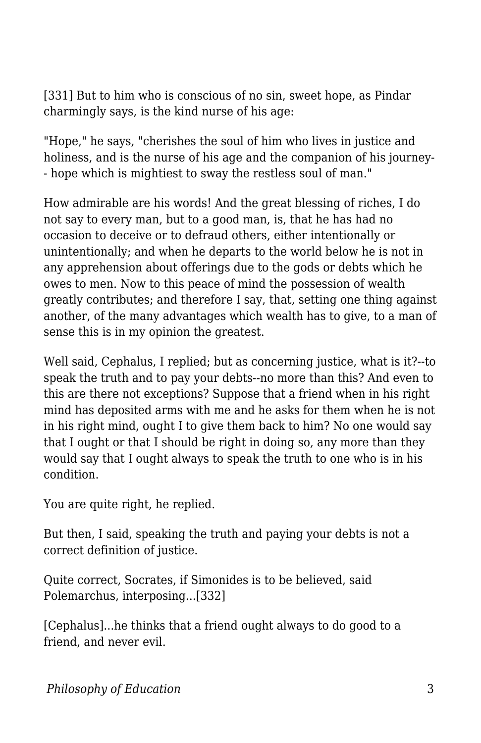[331] But to him who is conscious of no sin, sweet hope, as Pindar charmingly says, is the kind nurse of his age:

"Hope," he says, "cherishes the soul of him who lives in justice and holiness, and is the nurse of his age and the companion of his journey- - hope which is mightiest to sway the restless soul of man."

How admirable are his words! And the great blessing of riches, I do not say to every man, but to a good man, is, that he has had no occasion to deceive or to defraud others, either intentionally or unintentionally; and when he departs to the world below he is not in any apprehension about offerings due to the gods or debts which he owes to men. Now to this peace of mind the possession of wealth greatly contributes; and therefore I say, that, setting one thing against another, of the many advantages which wealth has to give, to a man of sense this is in my opinion the greatest.

Well said, Cephalus, I replied; but as concerning justice, what is it?--to speak the truth and to pay your debts--no more than this? And even to this are there not exceptions? Suppose that a friend when in his right mind has deposited arms with me and he asks for them when he is not in his right mind, ought I to give them back to him? No one would say that I ought or that I should be right in doing so, any more than they would say that I ought always to speak the truth to one who is in his condition.

You are quite right, he replied.

But then, I said, speaking the truth and paying your debts is not a correct definition of justice.

Quite correct, Socrates, if Simonides is to be believed, said Polemarchus, interposing...[332]

[Cephalus]...he thinks that a friend ought always to do good to a friend, and never evil.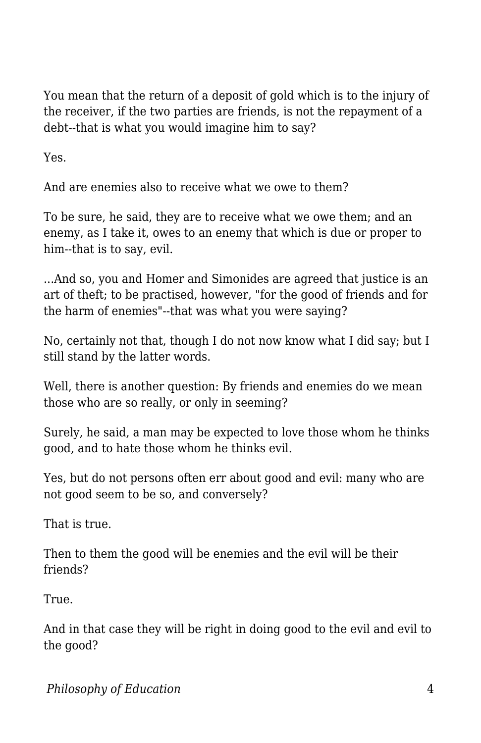You mean that the return of a deposit of gold which is to the injury of the receiver, if the two parties are friends, is not the repayment of a debt--that is what you would imagine him to say?

Yes.

And are enemies also to receive what we owe to them?

To be sure, he said, they are to receive what we owe them; and an enemy, as I take it, owes to an enemy that which is due or proper to him--that is to say, evil.

...And so, you and Homer and Simonides are agreed that justice is an art of theft; to be practised, however, "for the good of friends and for the harm of enemies"--that was what you were saying?

No, certainly not that, though I do not now know what I did say; but I still stand by the latter words.

Well, there is another question: By friends and enemies do we mean those who are so really, or only in seeming?

Surely, he said, a man may be expected to love those whom he thinks good, and to hate those whom he thinks evil.

Yes, but do not persons often err about good and evil: many who are not good seem to be so, and conversely?

That is true.

Then to them the good will be enemies and the evil will be their friends?

True.

And in that case they will be right in doing good to the evil and evil to the good?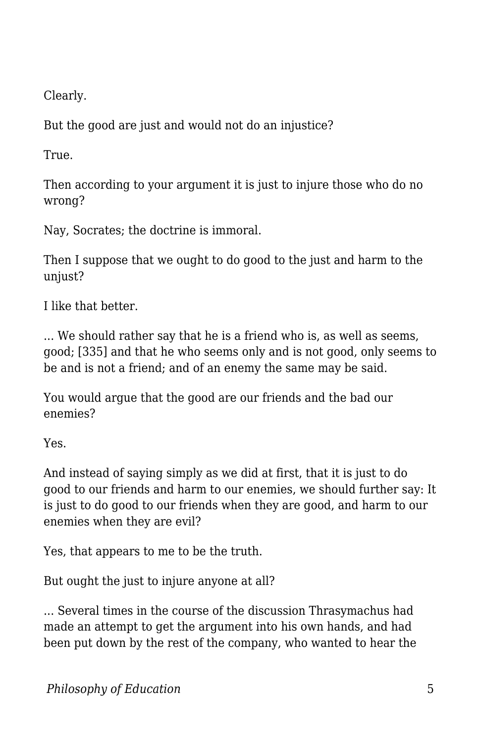Clearly.

But the good are just and would not do an injustice?

True.

Then according to your argument it is just to injure those who do no wrong?

Nay, Socrates; the doctrine is immoral.

Then I suppose that we ought to do good to the just and harm to the unjust?

I like that better.

... We should rather say that he is a friend who is, as well as seems, good; [335] and that he who seems only and is not good, only seems to be and is not a friend; and of an enemy the same may be said.

You would argue that the good are our friends and the bad our enemies?

Yes.

And instead of saying simply as we did at first, that it is just to do good to our friends and harm to our enemies, we should further say: It is just to do good to our friends when they are good, and harm to our enemies when they are evil?

Yes, that appears to me to be the truth.

But ought the just to injure anyone at all?

... Several times in the course of the discussion Thrasymachus had made an attempt to get the argument into his own hands, and had been put down by the rest of the company, who wanted to hear the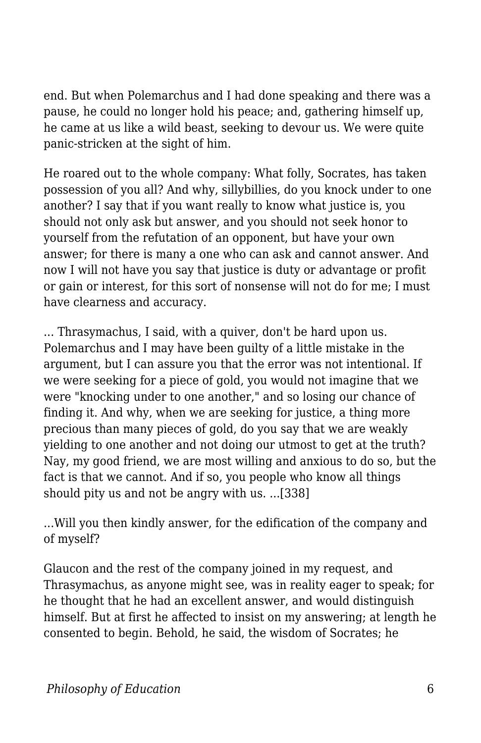end. But when Polemarchus and I had done speaking and there was a pause, he could no longer hold his peace; and, gathering himself up, he came at us like a wild beast, seeking to devour us. We were quite panic-stricken at the sight of him.

He roared out to the whole company: What folly, Socrates, has taken possession of you all? And why, sillybillies, do you knock under to one another? I say that if you want really to know what justice is, you should not only ask but answer, and you should not seek honor to yourself from the refutation of an opponent, but have your own answer; for there is many a one who can ask and cannot answer. And now I will not have you say that justice is duty or advantage or profit or gain or interest, for this sort of nonsense will not do for me; I must have clearness and accuracy.

... Thrasymachus, I said, with a quiver, don't be hard upon us. Polemarchus and I may have been guilty of a little mistake in the argument, but I can assure you that the error was not intentional. If we were seeking for a piece of gold, you would not imagine that we were "knocking under to one another," and so losing our chance of finding it. And why, when we are seeking for justice, a thing more precious than many pieces of gold, do you say that we are weakly yielding to one another and not doing our utmost to get at the truth? Nay, my good friend, we are most willing and anxious to do so, but the fact is that we cannot. And if so, you people who know all things should pity us and not be angry with us. ...[338]

...Will you then kindly answer, for the edification of the company and of myself?

Glaucon and the rest of the company joined in my request, and Thrasymachus, as anyone might see, was in reality eager to speak; for he thought that he had an excellent answer, and would distinguish himself. But at first he affected to insist on my answering; at length he consented to begin. Behold, he said, the wisdom of Socrates; he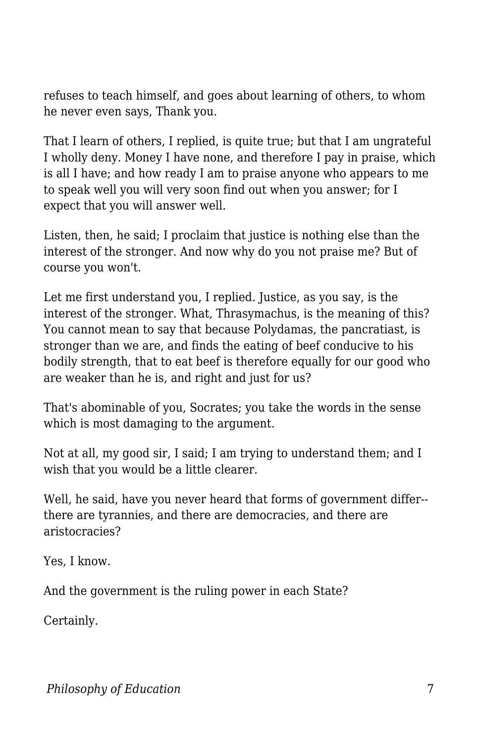refuses to teach himself, and goes about learning of others, to whom he never even says, Thank you.

That I learn of others, I replied, is quite true; but that I am ungrateful I wholly deny. Money I have none, and therefore I pay in praise, which is all I have; and how ready I am to praise anyone who appears to me to speak well you will very soon find out when you answer; for I expect that you will answer well.

Listen, then, he said; I proclaim that justice is nothing else than the interest of the stronger. And now why do you not praise me? But of course you won't.

Let me first understand you, I replied. Justice, as you say, is the interest of the stronger. What, Thrasymachus, is the meaning of this? You cannot mean to say that because Polydamas, the pancratiast, is stronger than we are, and finds the eating of beef conducive to his bodily strength, that to eat beef is therefore equally for our good who are weaker than he is, and right and just for us?

That's abominable of you, Socrates; you take the words in the sense which is most damaging to the argument.

Not at all, my good sir, I said; I am trying to understand them; and I wish that you would be a little clearer.

Well, he said, have you never heard that forms of government differ- there are tyrannies, and there are democracies, and there are aristocracies?

Yes, I know.

And the government is the ruling power in each State?

Certainly.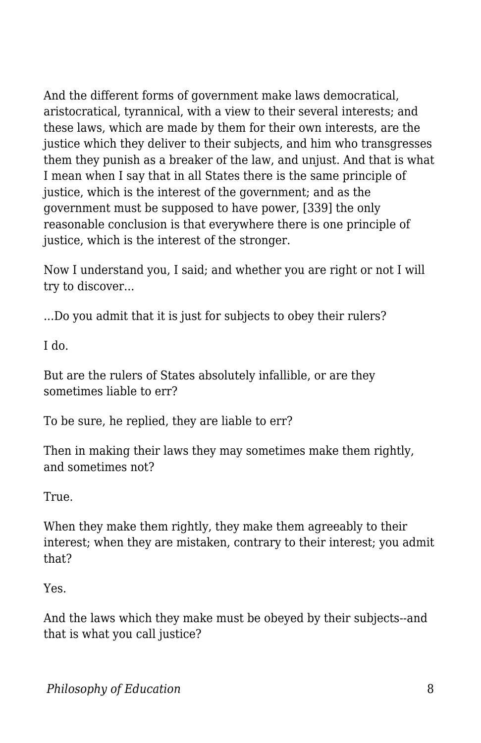And the different forms of government make laws democratical, aristocratical, tyrannical, with a view to their several interests; and these laws, which are made by them for their own interests, are the justice which they deliver to their subjects, and him who transgresses them they punish as a breaker of the law, and unjust. And that is what I mean when I say that in all States there is the same principle of justice, which is the interest of the government; and as the government must be supposed to have power, [339] the only reasonable conclusion is that everywhere there is one principle of justice, which is the interest of the stronger.

Now I understand you, I said; and whether you are right or not I will try to discover...

...Do you admit that it is just for subjects to obey their rulers?

I do.

But are the rulers of States absolutely infallible, or are they sometimes liable to err?

To be sure, he replied, they are liable to err?

Then in making their laws they may sometimes make them rightly, and sometimes not?

True.

When they make them rightly, they make them agreeably to their interest; when they are mistaken, contrary to their interest; you admit that?

Yes.

And the laws which they make must be obeyed by their subjects--and that is what you call justice?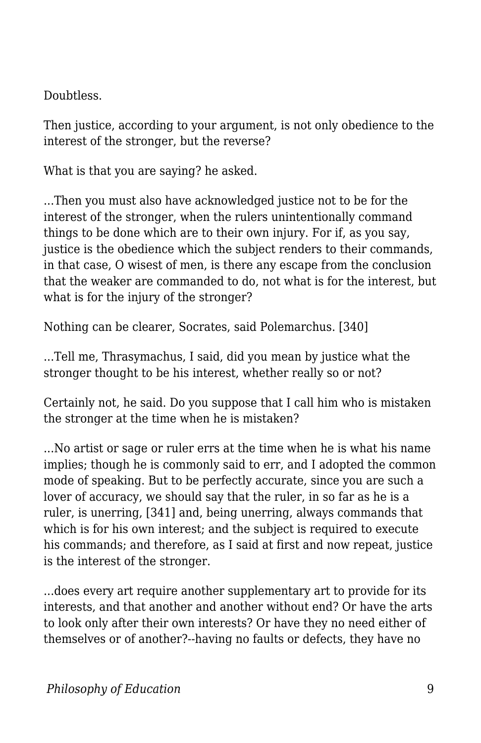Doubtless.

Then justice, according to your argument, is not only obedience to the interest of the stronger, but the reverse?

What is that you are saying? he asked.

...Then you must also have acknowledged justice not to be for the interest of the stronger, when the rulers unintentionally command things to be done which are to their own injury. For if, as you say, justice is the obedience which the subject renders to their commands, in that case, O wisest of men, is there any escape from the conclusion that the weaker are commanded to do, not what is for the interest, but what is for the injury of the stronger?

Nothing can be clearer, Socrates, said Polemarchus. [340]

...Tell me, Thrasymachus, I said, did you mean by justice what the stronger thought to be his interest, whether really so or not?

Certainly not, he said. Do you suppose that I call him who is mistaken the stronger at the time when he is mistaken?

...No artist or sage or ruler errs at the time when he is what his name implies; though he is commonly said to err, and I adopted the common mode of speaking. But to be perfectly accurate, since you are such a lover of accuracy, we should say that the ruler, in so far as he is a ruler, is unerring, [341] and, being unerring, always commands that which is for his own interest; and the subject is required to execute his commands; and therefore, as I said at first and now repeat, justice is the interest of the stronger.

...does every art require another supplementary art to provide for its interests, and that another and another without end? Or have the arts to look only after their own interests? Or have they no need either of themselves or of another?--having no faults or defects, they have no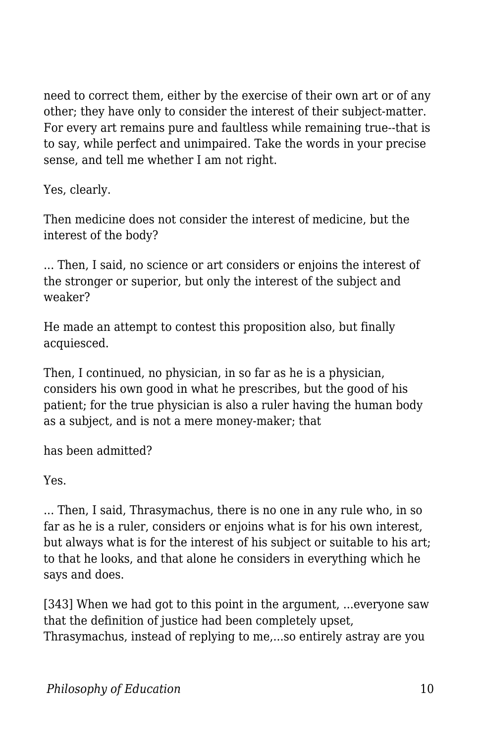need to correct them, either by the exercise of their own art or of any other; they have only to consider the interest of their subject-matter. For every art remains pure and faultless while remaining true--that is to say, while perfect and unimpaired. Take the words in your precise sense, and tell me whether I am not right.

Yes, clearly.

Then medicine does not consider the interest of medicine, but the interest of the body?

... Then, I said, no science or art considers or enjoins the interest of the stronger or superior, but only the interest of the subject and weaker?

He made an attempt to contest this proposition also, but finally acquiesced.

Then, I continued, no physician, in so far as he is a physician, considers his own good in what he prescribes, but the good of his patient; for the true physician is also a ruler having the human body as a subject, and is not a mere money-maker; that

has been admitted?

Yes.

... Then, I said, Thrasymachus, there is no one in any rule who, in so far as he is a ruler, considers or enjoins what is for his own interest, but always what is for the interest of his subject or suitable to his art; to that he looks, and that alone he considers in everything which he says and does.

[343] When we had got to this point in the argument, ...everyone saw that the definition of justice had been completely upset, Thrasymachus, instead of replying to me,...so entirely astray are you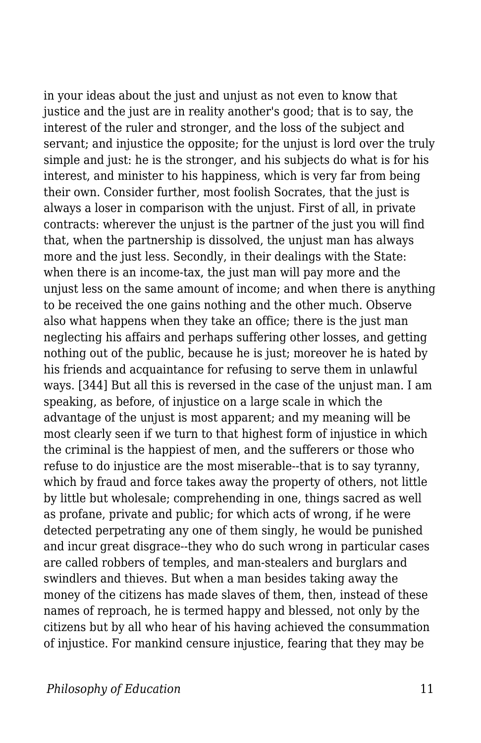in your ideas about the just and unjust as not even to know that justice and the just are in reality another's good; that is to say, the interest of the ruler and stronger, and the loss of the subject and servant; and injustice the opposite; for the unjust is lord over the truly simple and just: he is the stronger, and his subjects do what is for his interest, and minister to his happiness, which is very far from being their own. Consider further, most foolish Socrates, that the just is always a loser in comparison with the unjust. First of all, in private contracts: wherever the unjust is the partner of the just you will find that, when the partnership is dissolved, the unjust man has always more and the just less. Secondly, in their dealings with the State: when there is an income-tax, the just man will pay more and the unjust less on the same amount of income; and when there is anything to be received the one gains nothing and the other much. Observe also what happens when they take an office; there is the just man neglecting his affairs and perhaps suffering other losses, and getting nothing out of the public, because he is just; moreover he is hated by his friends and acquaintance for refusing to serve them in unlawful ways. [344] But all this is reversed in the case of the unjust man. I am speaking, as before, of injustice on a large scale in which the advantage of the unjust is most apparent; and my meaning will be most clearly seen if we turn to that highest form of injustice in which the criminal is the happiest of men, and the sufferers or those who refuse to do injustice are the most miserable--that is to say tyranny, which by fraud and force takes away the property of others, not little by little but wholesale; comprehending in one, things sacred as well as profane, private and public; for which acts of wrong, if he were detected perpetrating any one of them singly, he would be punished and incur great disgrace--they who do such wrong in particular cases are called robbers of temples, and man-stealers and burglars and swindlers and thieves. But when a man besides taking away the money of the citizens has made slaves of them, then, instead of these names of reproach, he is termed happy and blessed, not only by the citizens but by all who hear of his having achieved the consummation of injustice. For mankind censure injustice, fearing that they may be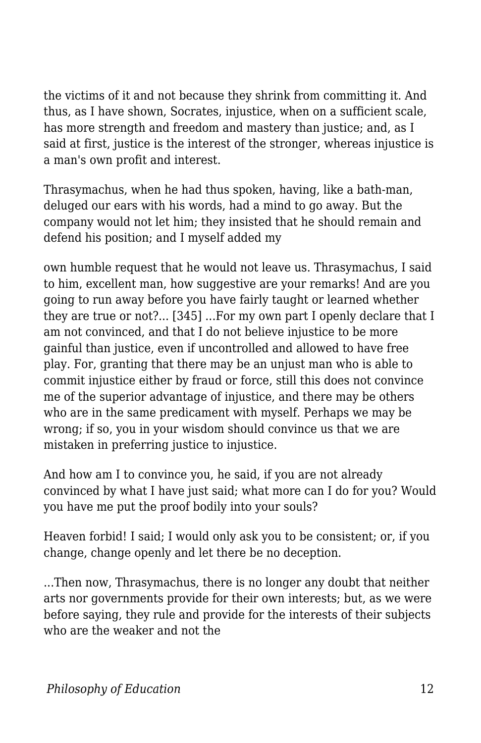the victims of it and not because they shrink from committing it. And thus, as I have shown, Socrates, injustice, when on a sufficient scale, has more strength and freedom and mastery than justice; and, as I said at first, justice is the interest of the stronger, whereas injustice is a man's own profit and interest.

Thrasymachus, when he had thus spoken, having, like a bath-man, deluged our ears with his words, had a mind to go away. But the company would not let him; they insisted that he should remain and defend his position; and I myself added my

own humble request that he would not leave us. Thrasymachus, I said to him, excellent man, how suggestive are your remarks! And are you going to run away before you have fairly taught or learned whether they are true or not?... [345] ...For my own part I openly declare that I am not convinced, and that I do not believe injustice to be more gainful than justice, even if uncontrolled and allowed to have free play. For, granting that there may be an unjust man who is able to commit injustice either by fraud or force, still this does not convince me of the superior advantage of injustice, and there may be others who are in the same predicament with myself. Perhaps we may be wrong; if so, you in your wisdom should convince us that we are mistaken in preferring justice to injustice.

And how am I to convince you, he said, if you are not already convinced by what I have just said; what more can I do for you? Would you have me put the proof bodily into your souls?

Heaven forbid! I said; I would only ask you to be consistent; or, if you change, change openly and let there be no deception.

...Then now, Thrasymachus, there is no longer any doubt that neither arts nor governments provide for their own interests; but, as we were before saying, they rule and provide for the interests of their subjects who are the weaker and not the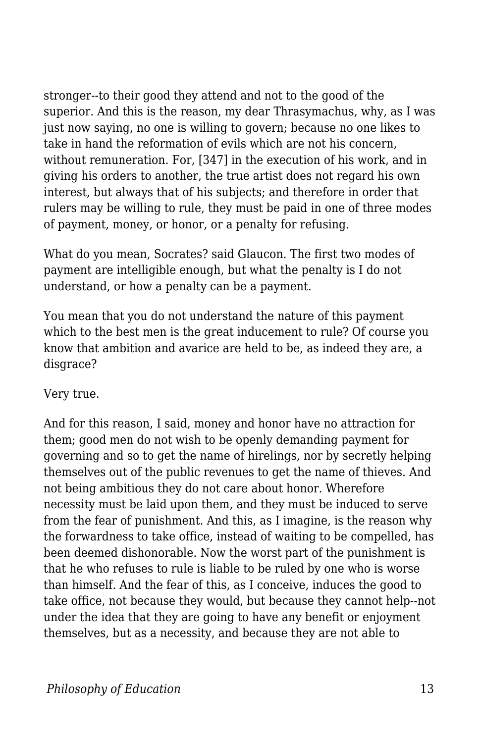stronger--to their good they attend and not to the good of the superior. And this is the reason, my dear Thrasymachus, why, as I was just now saying, no one is willing to govern; because no one likes to take in hand the reformation of evils which are not his concern, without remuneration. For, [347] in the execution of his work, and in giving his orders to another, the true artist does not regard his own interest, but always that of his subjects; and therefore in order that rulers may be willing to rule, they must be paid in one of three modes of payment, money, or honor, or a penalty for refusing.

What do you mean, Socrates? said Glaucon. The first two modes of payment are intelligible enough, but what the penalty is I do not understand, or how a penalty can be a payment.

You mean that you do not understand the nature of this payment which to the best men is the great inducement to rule? Of course you know that ambition and avarice are held to be, as indeed they are, a disgrace?

Very true.

And for this reason, I said, money and honor have no attraction for them; good men do not wish to be openly demanding payment for governing and so to get the name of hirelings, nor by secretly helping themselves out of the public revenues to get the name of thieves. And not being ambitious they do not care about honor. Wherefore necessity must be laid upon them, and they must be induced to serve from the fear of punishment. And this, as I imagine, is the reason why the forwardness to take office, instead of waiting to be compelled, has been deemed dishonorable. Now the worst part of the punishment is that he who refuses to rule is liable to be ruled by one who is worse than himself. And the fear of this, as I conceive, induces the good to take office, not because they would, but because they cannot help--not under the idea that they are going to have any benefit or enjoyment themselves, but as a necessity, and because they are not able to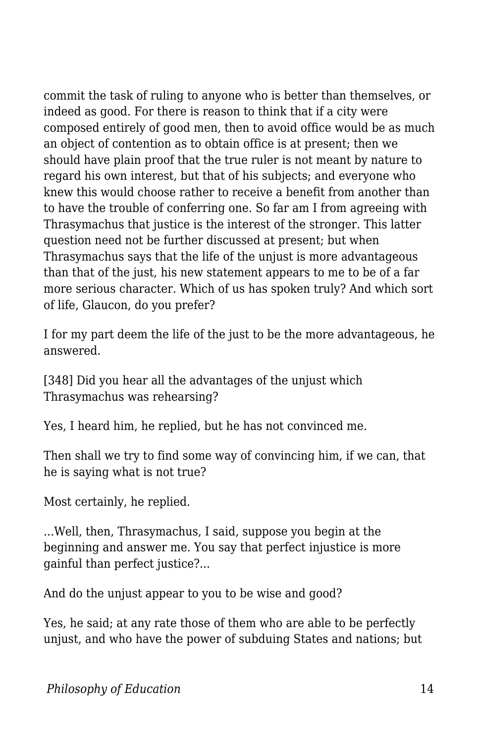commit the task of ruling to anyone who is better than themselves, or indeed as good. For there is reason to think that if a city were composed entirely of good men, then to avoid office would be as much an object of contention as to obtain office is at present; then we should have plain proof that the true ruler is not meant by nature to regard his own interest, but that of his subjects; and everyone who knew this would choose rather to receive a benefit from another than to have the trouble of conferring one. So far am I from agreeing with Thrasymachus that justice is the interest of the stronger. This latter question need not be further discussed at present; but when Thrasymachus says that the life of the unjust is more advantageous than that of the just, his new statement appears to me to be of a far more serious character. Which of us has spoken truly? And which sort of life, Glaucon, do you prefer?

I for my part deem the life of the just to be the more advantageous, he answered.

[348] Did you hear all the advantages of the unjust which Thrasymachus was rehearsing?

Yes, I heard him, he replied, but he has not convinced me.

Then shall we try to find some way of convincing him, if we can, that he is saying what is not true?

Most certainly, he replied.

...Well, then, Thrasymachus, I said, suppose you begin at the beginning and answer me. You say that perfect injustice is more gainful than perfect justice?...

And do the unjust appear to you to be wise and good?

Yes, he said; at any rate those of them who are able to be perfectly unjust, and who have the power of subduing States and nations; but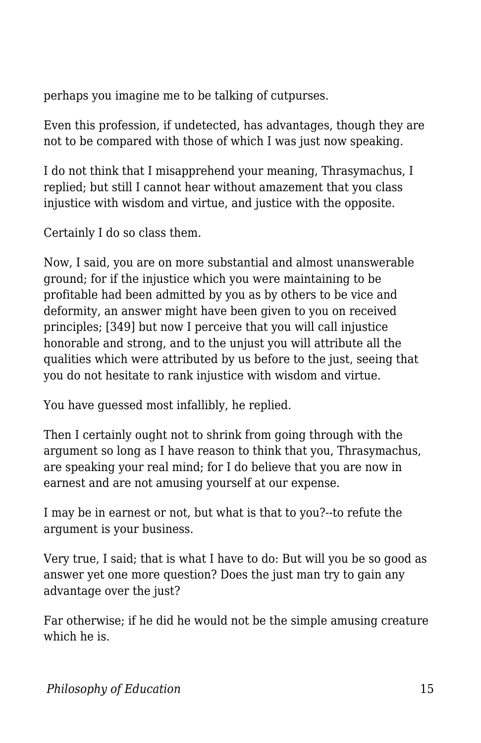perhaps you imagine me to be talking of cutpurses.

Even this profession, if undetected, has advantages, though they are not to be compared with those of which I was just now speaking.

I do not think that I misapprehend your meaning, Thrasymachus, I replied; but still I cannot hear without amazement that you class injustice with wisdom and virtue, and justice with the opposite.

Certainly I do so class them.

Now, I said, you are on more substantial and almost unanswerable ground; for if the injustice which you were maintaining to be profitable had been admitted by you as by others to be vice and deformity, an answer might have been given to you on received principles; [349] but now I perceive that you will call injustice honorable and strong, and to the unjust you will attribute all the qualities which were attributed by us before to the just, seeing that you do not hesitate to rank injustice with wisdom and virtue.

You have guessed most infallibly, he replied.

Then I certainly ought not to shrink from going through with the argument so long as I have reason to think that you, Thrasymachus, are speaking your real mind; for I do believe that you are now in earnest and are not amusing yourself at our expense.

I may be in earnest or not, but what is that to you?--to refute the argument is your business.

Very true, I said; that is what I have to do: But will you be so good as answer yet one more question? Does the just man try to gain any advantage over the just?

Far otherwise; if he did he would not be the simple amusing creature which he is.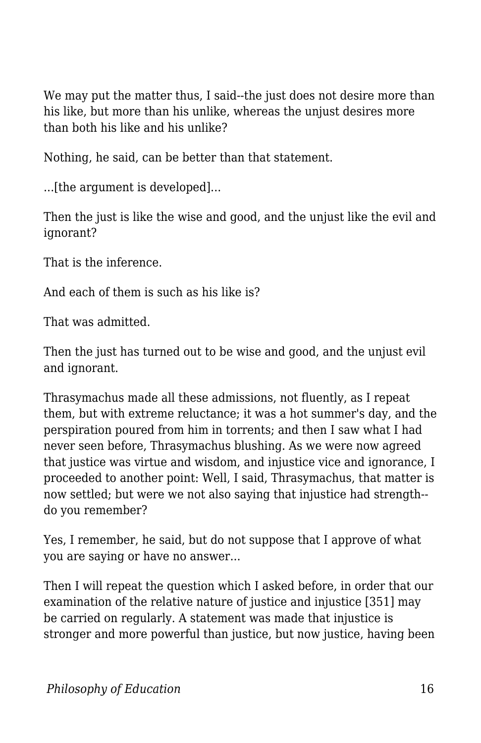We may put the matter thus, I said--the just does not desire more than his like, but more than his unlike, whereas the unjust desires more than both his like and his unlike?

Nothing, he said, can be better than that statement.

...[the argument is developed]...

Then the just is like the wise and good, and the unjust like the evil and ignorant?

That is the inference.

And each of them is such as his like is?

That was admitted.

Then the just has turned out to be wise and good, and the unjust evil and ignorant.

Thrasymachus made all these admissions, not fluently, as I repeat them, but with extreme reluctance; it was a hot summer's day, and the perspiration poured from him in torrents; and then I saw what I had never seen before, Thrasymachus blushing. As we were now agreed that justice was virtue and wisdom, and injustice vice and ignorance, I proceeded to another point: Well, I said, Thrasymachus, that matter is now settled; but were we not also saying that injustice had strength- do you remember?

Yes, I remember, he said, but do not suppose that I approve of what you are saying or have no answer...

Then I will repeat the question which I asked before, in order that our examination of the relative nature of justice and injustice [351] may be carried on regularly. A statement was made that injustice is stronger and more powerful than justice, but now justice, having been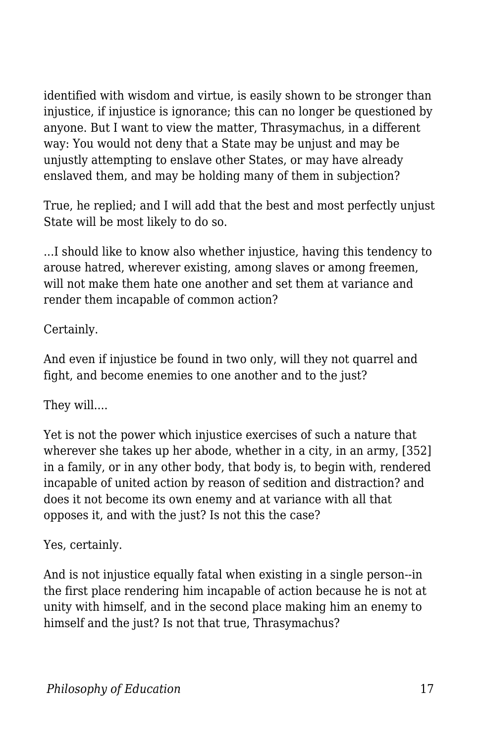identified with wisdom and virtue, is easily shown to be stronger than injustice, if injustice is ignorance; this can no longer be questioned by anyone. But I want to view the matter, Thrasymachus, in a different way: You would not deny that a State may be unjust and may be unjustly attempting to enslave other States, or may have already enslaved them, and may be holding many of them in subjection?

True, he replied; and I will add that the best and most perfectly unjust State will be most likely to do so.

...I should like to know also whether injustice, having this tendency to arouse hatred, wherever existing, among slaves or among freemen, will not make them hate one another and set them at variance and render them incapable of common action?

Certainly.

And even if injustice be found in two only, will they not quarrel and fight, and become enemies to one another and to the just?

They will....

Yet is not the power which injustice exercises of such a nature that wherever she takes up her abode, whether in a city, in an army, [352] in a family, or in any other body, that body is, to begin with, rendered incapable of united action by reason of sedition and distraction? and does it not become its own enemy and at variance with all that opposes it, and with the just? Is not this the case?

Yes, certainly.

And is not injustice equally fatal when existing in a single person--in the first place rendering him incapable of action because he is not at unity with himself, and in the second place making him an enemy to himself and the just? Is not that true, Thrasymachus?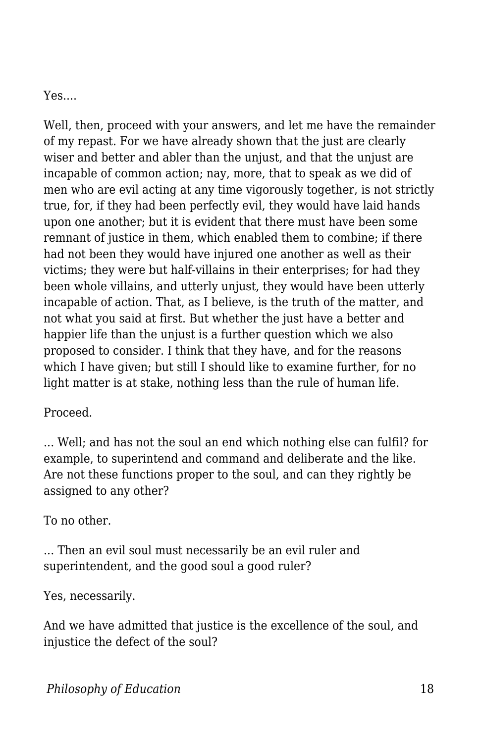Yes....

Well, then, proceed with your answers, and let me have the remainder of my repast. For we have already shown that the just are clearly wiser and better and abler than the unjust, and that the unjust are incapable of common action; nay, more, that to speak as we did of men who are evil acting at any time vigorously together, is not strictly true, for, if they had been perfectly evil, they would have laid hands upon one another; but it is evident that there must have been some remnant of justice in them, which enabled them to combine; if there had not been they would have injured one another as well as their victims; they were but half-villains in their enterprises; for had they been whole villains, and utterly unjust, they would have been utterly incapable of action. That, as I believe, is the truth of the matter, and not what you said at first. But whether the just have a better and happier life than the unjust is a further question which we also proposed to consider. I think that they have, and for the reasons which I have given; but still I should like to examine further, for no light matter is at stake, nothing less than the rule of human life.

Proceed.

... Well; and has not the soul an end which nothing else can fulfil? for example, to superintend and command and deliberate and the like. Are not these functions proper to the soul, and can they rightly be assigned to any other?

## To no other.

... Then an evil soul must necessarily be an evil ruler and superintendent, and the good soul a good ruler?

Yes, necessarily.

And we have admitted that justice is the excellence of the soul, and injustice the defect of the soul?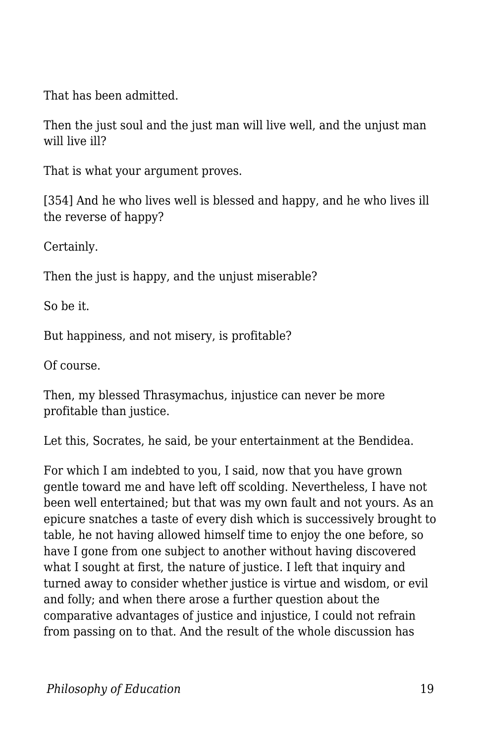That has been admitted.

Then the just soul and the just man will live well, and the unjust man will live ill?

That is what your argument proves.

[354] And he who lives well is blessed and happy, and he who lives ill the reverse of happy?

Certainly.

Then the just is happy, and the unjust miserable?

So be it.

But happiness, and not misery, is profitable?

Of course.

Then, my blessed Thrasymachus, injustice can never be more profitable than justice.

Let this, Socrates, he said, be your entertainment at the Bendidea.

For which I am indebted to you, I said, now that you have grown gentle toward me and have left off scolding. Nevertheless, I have not been well entertained; but that was my own fault and not yours. As an epicure snatches a taste of every dish which is successively brought to table, he not having allowed himself time to enjoy the one before, so have I gone from one subject to another without having discovered what I sought at first, the nature of justice. I left that inquiry and turned away to consider whether justice is virtue and wisdom, or evil and folly; and when there arose a further question about the comparative advantages of justice and injustice, I could not refrain from passing on to that. And the result of the whole discussion has